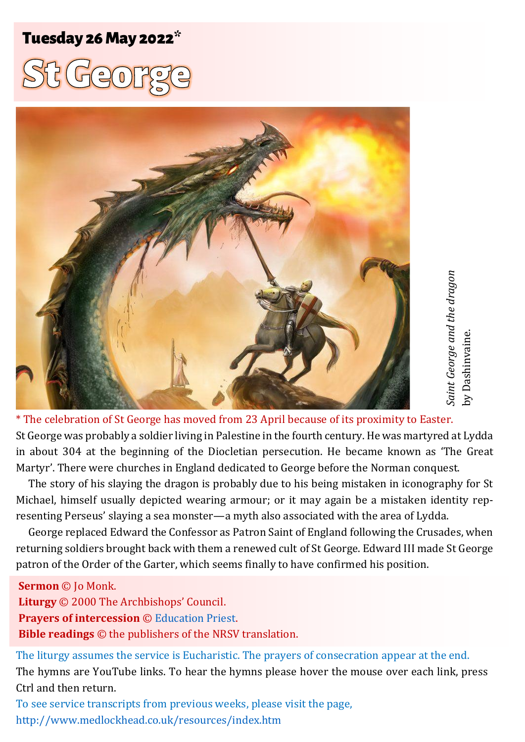# Tuesday 26 May 2022<sup>\*</sup> Exercíse Constantinople of the Constantinople of the Constantinople of the Constantinople of the Constantinople of the Constantinople of the Constantinople of the Constantinople of the Constantinople





aint George and the dragon *Saint George and the dragon* Dashinvaine. by Dashinvaine.

\* The celebration of St George has moved from 23 April because of its proximity to Easter. St George was probably a soldier living in Palestine in the fourth century. He was martyred at Lydda in about 304 at the beginning of the Diocletian persecution. He became known as 'The Great Martyr'. There were churches in England dedicated to George before the Norman conquest.

The story of his slaying the dragon is probably due to his being mistaken in iconography for St Michael, himself usually depicted wearing armour; or it may again be a mistaken identity representing Perseus' slaying a sea monster—a myth also associated with the area of Lydda.

George replaced Edward the Confessor as Patron Saint of England following the Crusades, when returning soldiers brought back with them a renewed cult of St George. Edward III made St George patron of the Order of the Garter, which seems finally to have confirmed his position.

**Sermon** © Jo Monk. **Liturgy** © 2000 The Archbishops' Council. **Prayers of intercession** © [Education Priest.](https://educationpriest.wordpress.com/2018/04/17/st-georges-day-intercessions-for-morning-or-evening-prayer/) **Bible readings** © the publishers of the NRSV translation.

The liturgy assumes the service is Eucharistic. The prayers of consecration appear at the end. The hymns are YouTube links. To hear the hymns please hover the mouse over each link, press Ctrl and then return.

To see service transcripts from previous weeks, please visit the page, <http://www.medlockhead.co.uk/resources/index.htm>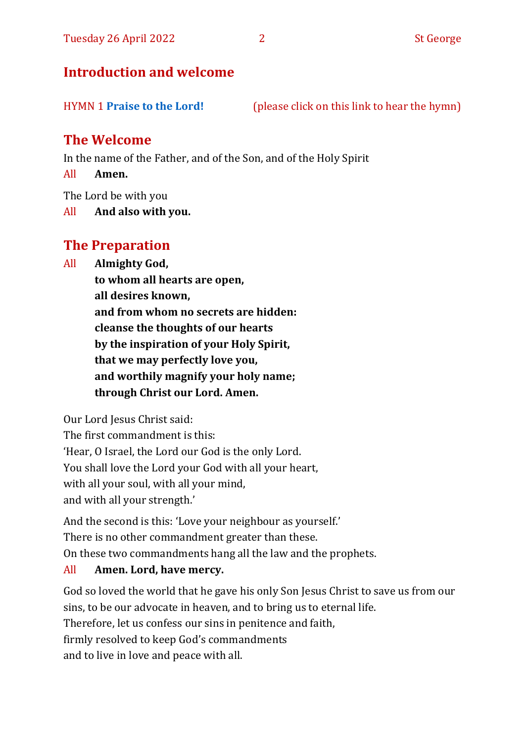# **Introduction and welcome**

| <b>HYMN 1 Praise to the Lord!</b> | (please click on this link to hear the hymn) |  |
|-----------------------------------|----------------------------------------------|--|
|                                   |                                              |  |

# **The Welcome**

In the name of the Father, and of the Son, and of the Holy Spirit

All **Amen.**

The Lord be with you

All **And also with you.**

# **The Preparation**

All **Almighty God,**

**to whom all hearts are open, all desires known, and from whom no secrets are hidden: cleanse the thoughts of our hearts by the inspiration of your Holy Spirit, that we may perfectly love you, and worthily magnify your holy name; through Christ our Lord. Amen.**

Our Lord Jesus Christ said:

The first commandment is this: 'Hear, O Israel, the Lord our God is the only Lord. You shall love the Lord your God with all your heart, with all your soul, with all your mind, and with all your strength.'

And the second is this: 'Love your neighbour as yourself.' There is no other commandment greater than these. On these two commandments hang all the law and the prophets.

### All **Amen. Lord, have mercy.**

God so loved the world that he gave his only Son Jesus Christ to save us from our sins, to be our advocate in heaven, and to bring us to eternal life. Therefore, let us confess our sins in penitence and faith, firmly resolved to keep God's commandments and to live in love and peace with all.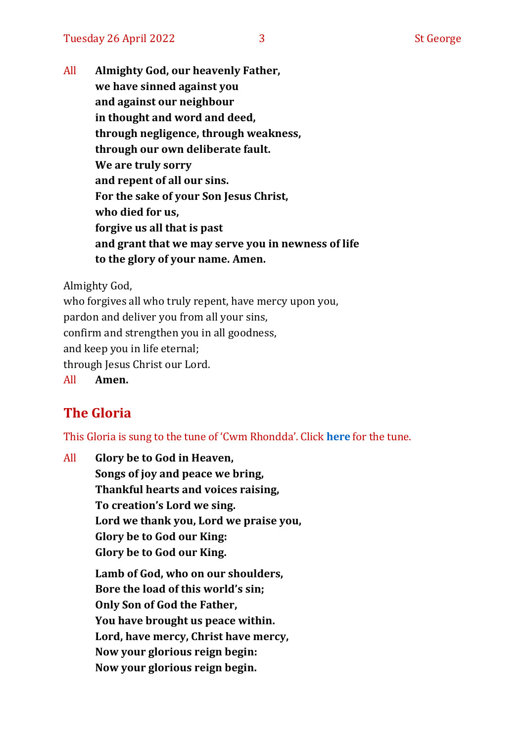All **Almighty God, our heavenly Father, we have sinned against you and against our neighbour in thought and word and deed, through negligence, through weakness, through our own deliberate fault. We are truly sorry and repent of all our sins. For the sake of your Son Jesus Christ, who died for us, forgive us all that is past and grant that we may serve you in newness of life to the glory of your name. Amen.**

Almighty God,

who forgives all who truly repent, have mercy upon you, pardon and deliver you from all your sins, confirm and strengthen you in all goodness, and keep you in life eternal; through Jesus Christ our Lord. All **Amen.**

# **The Gloria**

This Gloria is sung to the tune of 'Cwm Rhondda'. Click **[here](about:blank)** for the tune.

All **Glory be to God in Heaven, Songs of joy and peace we bring, Thankful hearts and voices raising, To creation's Lord we sing. Lord we thank you, Lord we praise you, Glory be to God our King: Glory be to God our King. Lamb of God, who on our shoulders, Bore the load of this world's sin; Only Son of God the Father, You have brought us peace within. Lord, have mercy, Christ have mercy, Now your glorious reign begin: Now your glorious reign begin.**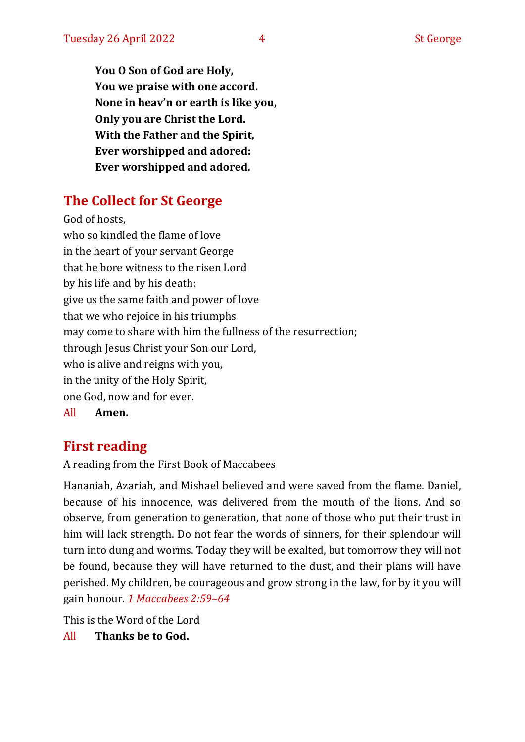**You O Son of God are Holy, You we praise with one accord. None in heav'n or earth is like you, Only you are Christ the Lord. With the Father and the Spirit, Ever worshipped and adored: Ever worshipped and adored.**

# **The Collect for St George**

God of hosts, who so kindled the flame of love in the heart of your servant George that he bore witness to the risen Lord by his life and by his death: give us the same faith and power of love that we who rejoice in his triumphs may come to share with him the fullness of the resurrection; through Jesus Christ your Son our Lord, who is alive and reigns with you, in the unity of the Holy Spirit, one God, now and for ever. All **Amen.**

### **First reading**

A reading from the First Book of Maccabees

Hananiah, Azariah, and Mishael believed and were saved from the flame. Daniel, because of his innocence, was delivered from the mouth of the lions. And so observe, from generation to generation, that none of those who put their trust in him will lack strength. Do not fear the words of sinners, for their splendour will turn into dung and worms. Today they will be exalted, but tomorrow they will not be found, because they will have returned to the dust, and their plans will have perished. My children, be courageous and grow strong in the law, for by it you will gain honour. *1 Maccabees 2:59–64*

This is the Word of the Lord

All **Thanks be to God.**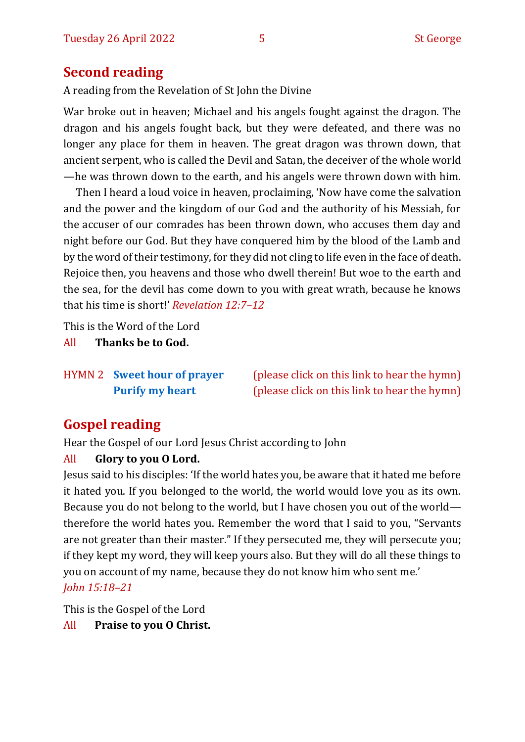# **Second reading**

A reading from the Revelation of St John the Divine

War broke out in heaven; Michael and his angels fought against the dragon. The dragon and his angels fought back, but they were defeated, and there was no longer any place for them in heaven. The great dragon was thrown down, that ancient serpent, who is called the Devil and Satan, the deceiver of the whole world —he was thrown down to the earth, and his angels were thrown down with him.

Then I heard a loud voice in heaven, proclaiming, 'Now have come the salvation and the power and the kingdom of our God and the authority of his Messiah, for the accuser of our comrades has been thrown down, who accuses them day and night before our God. But they have conquered him by the blood of the Lamb and by the word of their testimony, for they did not cling to life even in the face of death. Rejoice then, you heavens and those who dwell therein! But woe to the earth and the sea, for the devil has come down to you with great wrath, because he knows that his time is short!' *Revelation 12:7–12*

This is the Word of the Lord

All **Thanks be to God.**

HYMN 2 **[Sweet hour of prayer](https://youtu.be/HRrIF30Jn8Q)** (please click on this link to hear the hymn) **[Purify my heart](https://youtu.be/8Yh45tqpw6s)** (please click on this link to hear the hymn)

# **Gospel reading**

Hear the Gospel of our Lord Jesus Christ according to John

#### All **Glory to you O Lord.**

Jesus said to his disciples: 'If the world hates you, be aware that it hated me before it hated you. If you belonged to the world, the world would love you as its own. Because you do not belong to the world, but I have chosen you out of the world therefore the world hates you. Remember the word that I said to you, "Servants are not greater than their master." If they persecuted me, they will persecute you; if they kept my word, they will keep yours also. But they will do all these things to you on account of my name, because they do not know him who sent me.' *John 15:18–21*

This is the Gospel of the Lord

All **Praise to you O Christ.**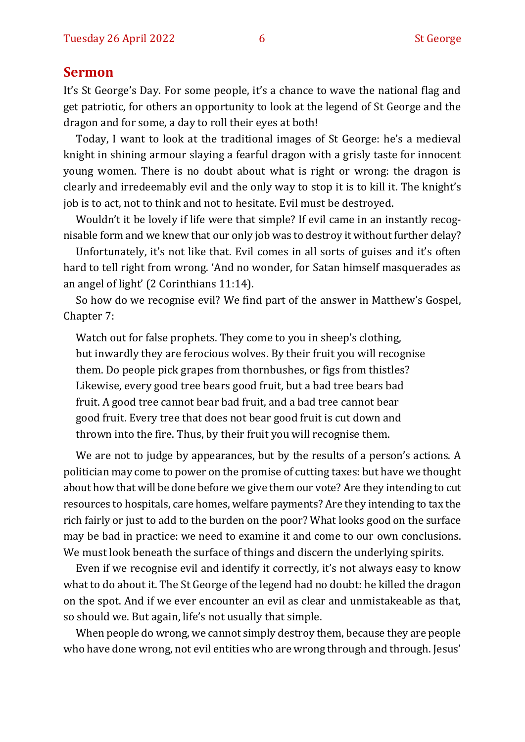#### **Sermon**

It's St George's Day. For some people, it's a chance to wave the national flag and get patriotic, for others an opportunity to look at the legend of St George and the dragon and for some, a day to roll their eyes at both!

Today, I want to look at the traditional images of St George: he's a medieval knight in shining armour slaying a fearful dragon with a grisly taste for innocent young women. There is no doubt about what is right or wrong: the dragon is clearly and irredeemably evil and the only way to stop it is to kill it. The knight's job is to act, not to think and not to hesitate. Evil must be destroyed.

Wouldn't it be lovely if life were that simple? If evil came in an instantly recognisable form and we knew that our only job was to destroy it without further delay?

Unfortunately, it's not like that. Evil comes in all sorts of guises and it's often hard to tell right from wrong. 'And no wonder, for Satan himself masquerades as an angel of light' (2 Corinthians 11:14).

So how do we recognise evil? We find part of the answer in Matthew's Gospel, Chapter 7:

Watch out for false prophets. They come to you in sheep's clothing, but inwardly they are ferocious wolves. By their fruit you will recognise them. Do people pick grapes from thornbushes, or figs from thistles? Likewise, every good tree bears good fruit, but a bad tree bears bad fruit. A good tree cannot bear bad fruit, and a bad tree cannot bear good fruit. Every tree that does not bear good fruit is cut down and thrown into the fire. Thus, by their fruit you will recognise them.

We are not to judge by appearances, but by the results of a person's actions. A politician may come to power on the promise of cutting taxes: but have we thought about how that will be done before we give them our vote? Are they intending to cut resources to hospitals, care homes, welfare payments? Are they intending to tax the rich fairly or just to add to the burden on the poor? What looks good on the surface may be bad in practice: we need to examine it and come to our own conclusions. We must look beneath the surface of things and discern the underlying spirits.

Even if we recognise evil and identify it correctly, it's not always easy to know what to do about it. The St George of the legend had no doubt: he killed the dragon on the spot. And if we ever encounter an evil as clear and unmistakeable as that, so should we. But again, life's not usually that simple.

When people do wrong, we cannot simply destroy them, because they are people who have done wrong, not evil entities who are wrong through and through. Jesus'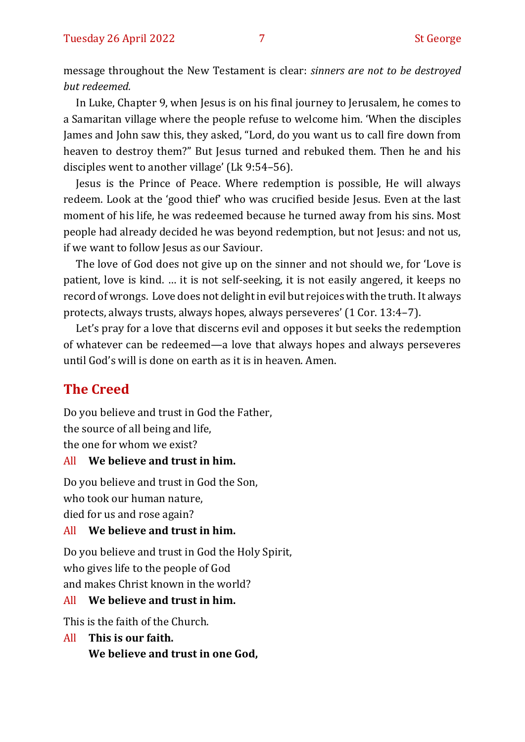message throughout the New Testament is clear: *sinners are not to be destroyed but redeemed.* 

In Luke, Chapter 9, when Jesus is on his final journey to Jerusalem, he comes to a Samaritan village where the people refuse to welcome him. 'When the disciples James and John saw this, they asked, "Lord, do you want us to call fire down from heaven to destroy them?" But Jesus turned and rebuked them. Then he and his disciples went to another village' (Lk 9:54–56).

Jesus is the Prince of Peace. Where redemption is possible, He will always redeem. Look at the 'good thief' who was crucified beside Jesus. Even at the last moment of his life, he was redeemed because he turned away from his sins. Most people had already decided he was beyond redemption, but not Jesus: and not us, if we want to follow Jesus as our Saviour.

The love of God does not give up on the sinner and not should we, for 'Love is patient, love is kind. … it is not self-seeking, it is not easily angered, it keeps no record of wrongs. Love does not delight in evil but rejoices with the truth. It always protects, always trusts, always hopes, always perseveres' (1 Cor. 13:4–7).

Let's pray for a love that discerns evil and opposes it but seeks the redemption of whatever can be redeemed—a love that always hopes and always perseveres until God's will is done on earth as it is in heaven. Amen.

# **The Creed**

Do you believe and trust in God the Father, the source of all being and life, the one for whom we exist?

#### All **We believe and trust in him.**

Do you believe and trust in God the Son, who took our human nature,

died for us and rose again?

#### All **We believe and trust in him.**

Do you believe and trust in God the Holy Spirit, who gives life to the people of God and makes Christ known in the world?

#### All **We believe and trust in him.**

This is the faith of the Church.

All **This is our faith. We believe and trust in one God,**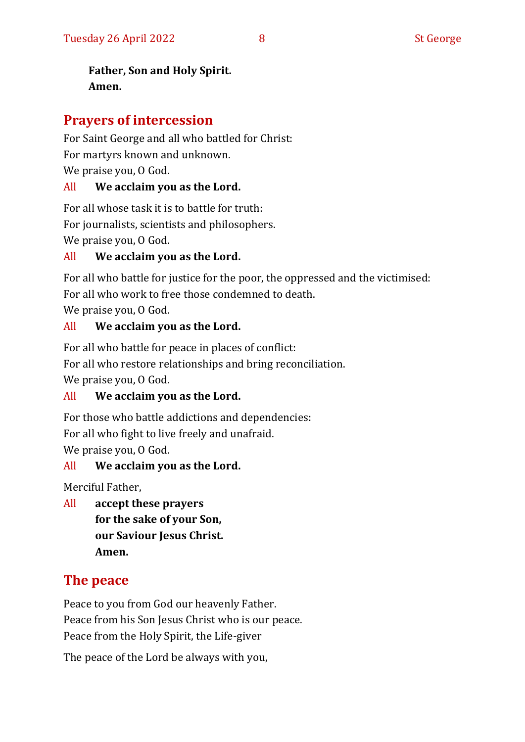**Father, Son and Holy Spirit. Amen.**

# **Prayers of intercession**

For Saint George and all who battled for Christ: For martyrs known and unknown. We praise you, O God.

#### All **We acclaim you as the Lord.**

For all whose task it is to battle for truth: For journalists, scientists and philosophers. We praise you, O God.

All **We acclaim you as the Lord.**

For all who battle for justice for the poor, the oppressed and the victimised: For all who work to free those condemned to death.

We praise you, O God.

#### All **We acclaim you as the Lord.**

For all who battle for peace in places of conflict: For all who restore relationships and bring reconciliation. We praise you, O God.

#### All **We acclaim you as the Lord.**

For those who battle addictions and dependencies:

For all who fight to live freely and unafraid.

We praise you, O God.

#### All **We acclaim you as the Lord.**

Merciful Father,

All **accept these prayers for the sake of your Son, our Saviour Jesus Christ. Amen.**

# **The peace**

Peace to you from God our heavenly Father.

Peace from his Son Jesus Christ who is our peace.

Peace from the Holy Spirit, the Life-giver

The peace of the Lord be always with you,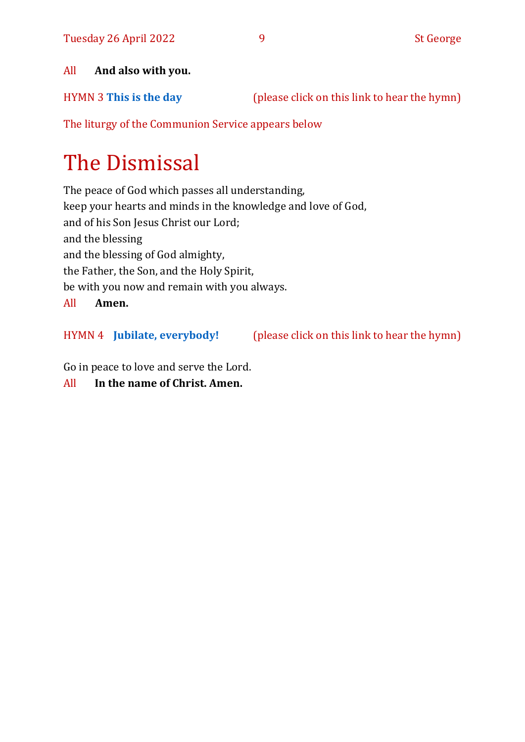#### All **And also with you.**

HYMN 3 **[This is the day](https://youtu.be/zNWkKuj1Hq4)** (please click on this link to hear the hymn)

The liturgy of the Communion Service appears below

# The Dismissal

The peace of God which passes all understanding, keep your hearts and minds in the knowledge and love of God, and of his Son Jesus Christ our Lord; and the blessing and the blessing of God almighty, the Father, the Son, and the Holy Spirit, be with you now and remain with you always. All **Amen.**

HYMN 4 **[Jubilate, everybody!](https://youtu.be/ZwSKZeg-8Y0)** (please click on this link to hear the hymn)

Go in peace to love and serve the Lord.

All **In the name of Christ. Amen.**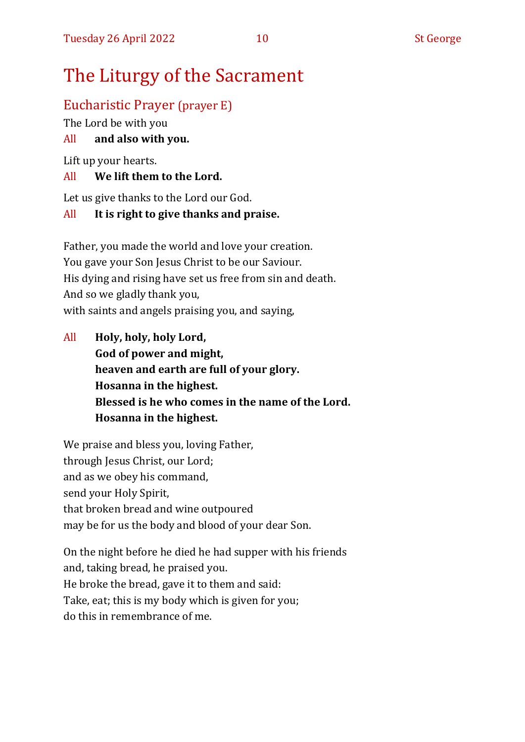# The Liturgy of the Sacrament

# Eucharistic Prayer (prayer E)

The Lord be with you

#### All **and also with you.**

Lift up your hearts.

#### All **We lift them to the Lord.**

Let us give thanks to the Lord our God.

#### All **It is right to give thanks and praise.**

Father, you made the world and love your creation. You gave your Son Jesus Christ to be our Saviour. His dying and rising have set us free from sin and death. And so we gladly thank you, with saints and angels praising you, and saying,

All **Holy, holy, holy Lord, God of power and might, heaven and earth are full of your glory. Hosanna in the highest. Blessed is he who comes in the name of the Lord. Hosanna in the highest.**

We praise and bless you, loving Father, through Jesus Christ, our Lord; and as we obey his command, send your Holy Spirit, that broken bread and wine outpoured may be for us the body and blood of your dear Son.

On the night before he died he had supper with his friends and, taking bread, he praised you. He broke the bread, gave it to them and said: Take, eat; this is my body which is given for you; do this in remembrance of me.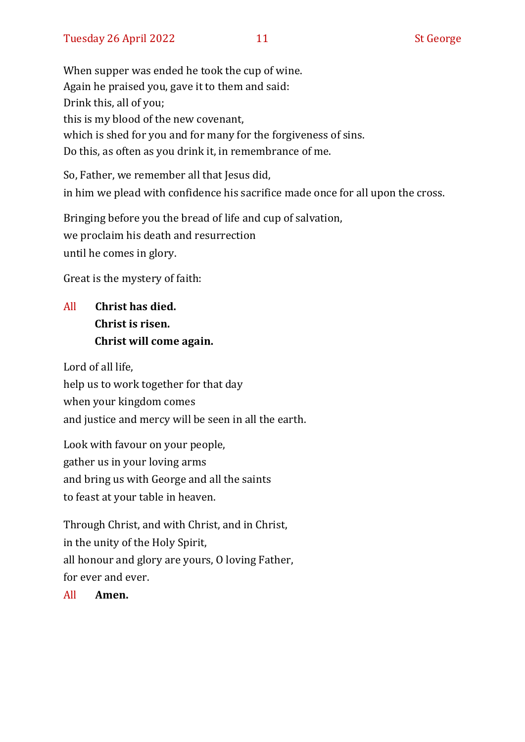When supper was ended he took the cup of wine. Again he praised you, gave it to them and said: Drink this, all of you; this is my blood of the new covenant, which is shed for you and for many for the forgiveness of sins. Do this, as often as you drink it, in remembrance of me.

So, Father, we remember all that Jesus did, in him we plead with confidence his sacrifice made once for all upon the cross.

Bringing before you the bread of life and cup of salvation, we proclaim his death and resurrection until he comes in glory.

Great is the mystery of faith:

# All **Christ has died. Christ is risen. Christ will come again.**

Lord of all life, help us to work together for that day when your kingdom comes and justice and mercy will be seen in all the earth.

Look with favour on your people, gather us in your loving arms and bring us with George and all the saints to feast at your table in heaven.

Through Christ, and with Christ, and in Christ, in the unity of the Holy Spirit, all honour and glory are yours, O loving Father, for ever and ever.

All **Amen.**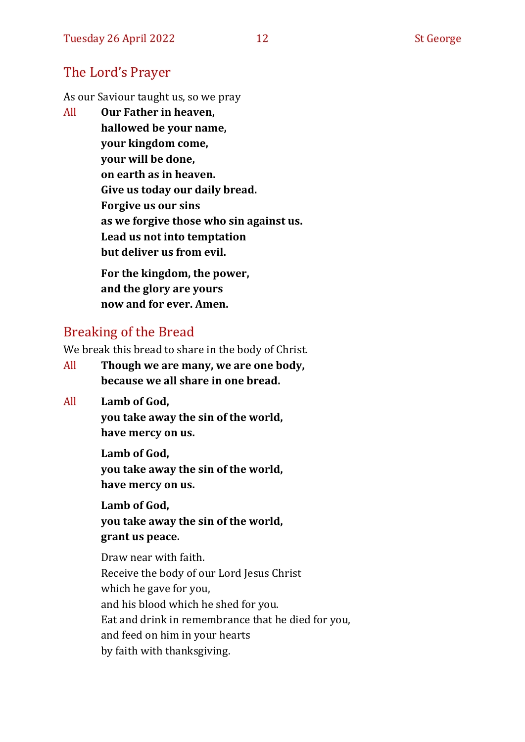# The Lord's Prayer

As our Saviour taught us, so we pray

All **Our Father in heaven, hallowed be your name, your kingdom come, your will be done, on earth as in heaven. Give us today our daily bread. Forgive us our sins as we forgive those who sin against us. Lead us not into temptation but deliver us from evil. For the kingdom, the power,** 

**and the glory are yours now and for ever. Amen.**

# Breaking of the Bread

We break this bread to share in the body of Christ.

- All **Though we are many, we are one body, because we all share in one bread.**
- All **Lamb of God,**

**you take away the sin of the world, have mercy on us.**

**Lamb of God, you take away the sin of the world, have mercy on us.**

**Lamb of God, you take away the sin of the world, grant us peace.**

Draw near with faith. Receive the body of our Lord Jesus Christ which he gave for you, and his blood which he shed for you. Eat and drink in remembrance that he died for you, and feed on him in your hearts by faith with thanksgiving.